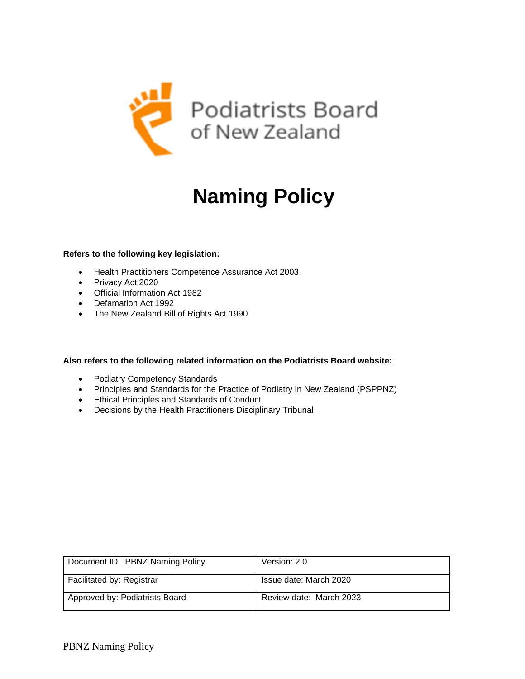

# **Naming Policy**

#### **Refers to the following key legislation:**

- Health Practitioners Competence Assurance Act 2003
- Privacy Act 2020
- Official Information Act 1982
- Defamation Act 1992
- The New Zealand Bill of Rights Act 1990

#### **Also refers to the following related information on the Podiatrists Board website:**

- Podiatry Competency Standards
- Principles and Standards for the Practice of Podiatry in New Zealand (PSPPNZ)
- Ethical Principles and Standards of Conduct
- Decisions by the Health Practitioners Disciplinary Tribunal

| Document ID: PBNZ Naming Policy | Version: 2.0            |
|---------------------------------|-------------------------|
| Facilitated by: Registrar       | Issue date: March 2020  |
| Approved by: Podiatrists Board  | Review date: March 2023 |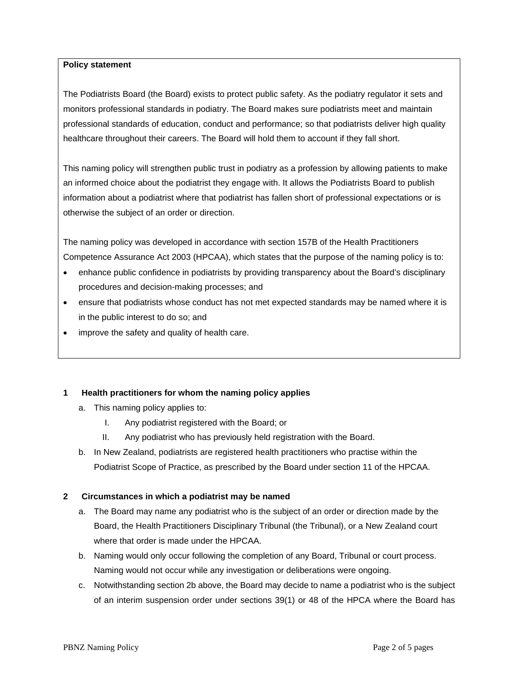#### **Policy statement**

The Podiatrists Board (the Board) exists to protect public safety. As the podiatry regulator it sets and monitors professional standards in podiatry. The Board makes sure podiatrists meet and maintain professional standards of education, conduct and performance; so that podiatrists deliver high quality healthcare throughout their careers. The Board will hold them to account if they fall short.

This naming policy will strengthen public trust in podiatry as a profession by allowing patients to make an informed choice about the podiatrist they engage with. It allows the Podiatrists Board to publish information about a podiatrist where that podiatrist has fallen short of professional expectations or is otherwise the subject of an order or direction.

The naming policy was developed in accordance with section 157B of the Health Practitioners Competence Assurance Act 2003 (HPCAA), which states that the purpose of the naming policy is to:

- enhance public confidence in podiatrists by providing transparency about the Board's disciplinary procedures and decision-making processes; and
- ensure that podiatrists whose conduct has not met expected standards may be named where it is in the public interest to do so; and
- improve the safety and quality of health care.

## **1 Health practitioners for whom the naming policy applies**

- a. This naming policy applies to:
	- I. Any podiatrist registered with the Board; or
	- II. Any podiatrist who has previously held registration with the Board.
- b. In New Zealand, podiatrists are registered health practitioners who practise within the Podiatrist Scope of Practice, as prescribed by the Board under section 11 of the HPCAA.

#### **2 Circumstances in which a podiatrist may be named**

- a. The Board may name any podiatrist who is the subject of an order or direction made by the Board, the Health Practitioners Disciplinary Tribunal (the Tribunal), or a New Zealand court where that order is made under the HPCAA.
- b. Naming would only occur following the completion of any Board, Tribunal or court process. Naming would not occur while any investigation or deliberations were ongoing.
- c. Notwithstanding section 2b above, the Board may decide to name a podiatrist who is the subject of an interim suspension order under sections 39(1) or 48 of the HPCA where the Board has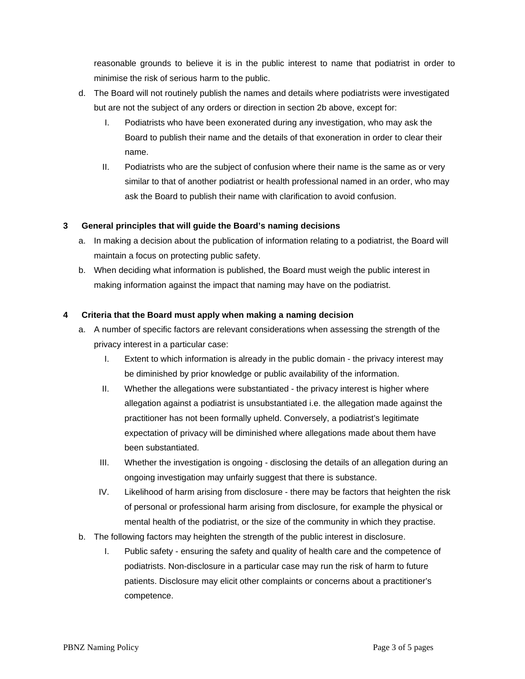reasonable grounds to believe it is in the public interest to name that podiatrist in order to minimise the risk of serious harm to the public.

- d. The Board will not routinely publish the names and details where podiatrists were investigated but are not the subject of any orders or direction in section 2b above, except for:
	- I. Podiatrists who have been exonerated during any investigation, who may ask the Board to publish their name and the details of that exoneration in order to clear their name.
	- II. Podiatrists who are the subject of confusion where their name is the same as or very similar to that of another podiatrist or health professional named in an order, who may ask the Board to publish their name with clarification to avoid confusion.

## **3 General principles that will guide the Board's naming decisions**

- a. In making a decision about the publication of information relating to a podiatrist, the Board will maintain a focus on protecting public safety.
- b. When deciding what information is published, the Board must weigh the public interest in making information against the impact that naming may have on the podiatrist.

## **4 Criteria that the Board must apply when making a naming decision**

- a. A number of specific factors are relevant considerations when assessing the strength of the privacy interest in a particular case:
	- I. Extent to which information is already in the public domain the privacy interest may be diminished by prior knowledge or public availability of the information.
	- II. Whether the allegations were substantiated the privacy interest is higher where allegation against a podiatrist is unsubstantiated i.e. the allegation made against the practitioner has not been formally upheld. Conversely, a podiatrist's legitimate expectation of privacy will be diminished where allegations made about them have been substantiated.
	- III. Whether the investigation is ongoing disclosing the details of an allegation during an ongoing investigation may unfairly suggest that there is substance.
	- IV. Likelihood of harm arising from disclosure there may be factors that heighten the risk of personal or professional harm arising from disclosure, for example the physical or mental health of the podiatrist, or the size of the community in which they practise.
- b. The following factors may heighten the strength of the public interest in disclosure.
	- I. Public safety ensuring the safety and quality of health care and the competence of podiatrists. Non-disclosure in a particular case may run the risk of harm to future patients. Disclosure may elicit other complaints or concerns about a practitioner's competence.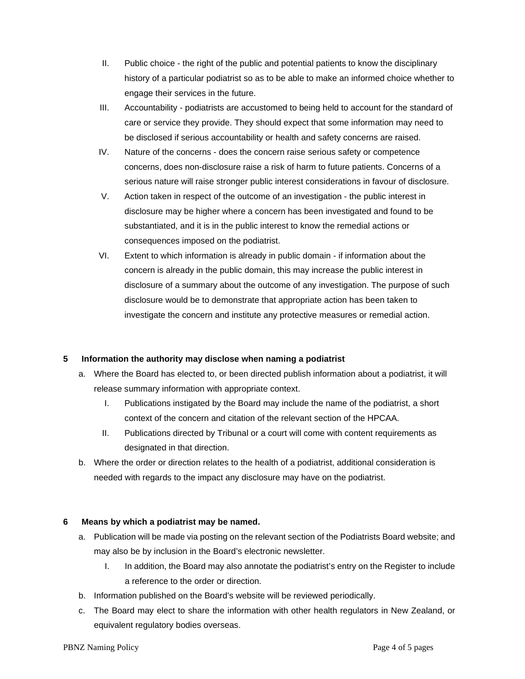- II. Public choice the right of the public and potential patients to know the disciplinary history of a particular podiatrist so as to be able to make an informed choice whether to engage their services in the future.
- III. Accountability podiatrists are accustomed to being held to account for the standard of care or service they provide. They should expect that some information may need to be disclosed if serious accountability or health and safety concerns are raised.
- IV. Nature of the concerns does the concern raise serious safety or competence concerns, does non-disclosure raise a risk of harm to future patients. Concerns of a serious nature will raise stronger public interest considerations in favour of disclosure.
- V. Action taken in respect of the outcome of an investigation the public interest in disclosure may be higher where a concern has been investigated and found to be substantiated, and it is in the public interest to know the remedial actions or consequences imposed on the podiatrist.
- VI. Extent to which information is already in public domain if information about the concern is already in the public domain, this may increase the public interest in disclosure of a summary about the outcome of any investigation. The purpose of such disclosure would be to demonstrate that appropriate action has been taken to investigate the concern and institute any protective measures or remedial action.

## **5 Information the authority may disclose when naming a podiatrist**

- a. Where the Board has elected to, or been directed publish information about a podiatrist, it will release summary information with appropriate context.
	- I. Publications instigated by the Board may include the name of the podiatrist, a short context of the concern and citation of the relevant section of the HPCAA.
	- II. Publications directed by Tribunal or a court will come with content requirements as designated in that direction.
- b. Where the order or direction relates to the health of a podiatrist, additional consideration is needed with regards to the impact any disclosure may have on the podiatrist.

# **6 Means by which a podiatrist may be named.**

- a. Publication will be made via posting on the relevant section of the Podiatrists Board website; and may also be by inclusion in the Board's electronic newsletter.
	- I. In addition, the Board may also annotate the podiatrist's entry on the Register to include a reference to the order or direction.
- b. Information published on the Board's website will be reviewed periodically.
- c. The Board may elect to share the information with other health regulators in New Zealand, or equivalent regulatory bodies overseas.